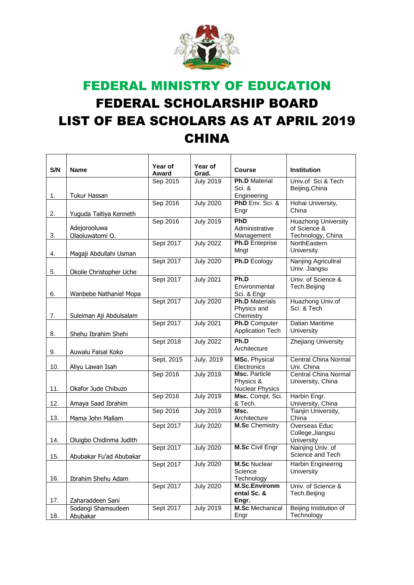

## FEDERAL MINISTRY OF EDUCATION FEDERAL SCHOLARSHIP BOARD LIST OF BEA SCHOLARS AS AT APRIL 2019 CHINA

| S/N | <b>Name</b>                     | Year of<br>Award | Year of<br>Grad.  | <b>Course</b>                                        | Institution                                                     |
|-----|---------------------------------|------------------|-------------------|------------------------------------------------------|-----------------------------------------------------------------|
| 1.  | Tukur Hassan                    | Sep 2015         | <b>July 2019</b>  | <b>Ph.D Material</b><br>Sci. &<br>Engineering        | Univ.of Sci & Tech<br>Beijing, China                            |
| 2.  | Yuguda Taitiya Kenneth          | Sep 2016         | <b>July 2020</b>  | PhD Env. Sci. &<br>Engr                              | Hohai University,<br>China                                      |
| 3.  | Adejorooluwa<br>Olaoluwatomi O. | Sep 2016         | <b>July 2019</b>  | <b>PhD</b><br>Administrative<br>Management           | <b>Huazhong University</b><br>of Science &<br>Technology, China |
| 4.  | Magaji Abdullahi Usman          | Sept 2017        | <b>July 2022</b>  | Ph.D Enteprise<br>Mngt                               | NorthEastern<br>University                                      |
| 5.  | Okolie Christopher Uche         | Sept 2017        | <b>July 2020</b>  | Ph.D Ecology                                         | Nanjing Agricultral<br>Univ. Jiangsu                            |
| 6.  | Wanbebe Nathaniel Mopa          | Sept 2017        | <b>July 2021</b>  | Ph.D<br>Environmental<br>Sci. & Engr                 | Univ. of Science &<br>Tech.Beijing                              |
| 7.  | Suleiman Aji Abdulsalam         | Sept 2017        | <b>July 2020</b>  | <b>Ph.D</b> Materials<br>Physics and<br>Chemistry    | Huazhong Univ.of<br>Sci. & Tech                                 |
| 8.  | Shehu Ibrahim Shehi             | Sept 2017        | <b>July 2021</b>  | Ph.D Computer<br><b>Application Tech</b>             | Dalian Maritime<br>University                                   |
| 9.  | Auwalu Faisal Koko              | Sept 2018        | <b>July 2022</b>  | Ph.D<br>Architecture                                 | Zhejiang University                                             |
| 10. | Aliyu Lawan Isah                | Sept, 2015       | <b>July, 2019</b> | <b>MSc. Physical</b><br>Electronics                  | Central China Normal<br>Uni. China                              |
| 11. | Okafor Jude Chibuzo             | Sep 2016         | <b>July 2019</b>  | Msc. Particle<br>Physics &<br><b>Nuclear Physics</b> | Central China Normal<br>University, China                       |
| 12. | Amaya Saad Ibrahim              | Sep 2016         | <b>July 2019</b>  | Msc. Compt. Sci.<br>& Tech.                          | Harbin Engr.<br>University, China                               |
| 13. | Mama John Mallam                | Sep 2016         | <b>July 2019</b>  | Msc.<br>Architecture                                 | Tianjin University,<br>China                                    |
| 14. | Oluigbo Chidinma Judith         | Sept 2017        | <b>July 2020</b>  | <b>M.Sc</b> Chemistry                                | Overseas Educ<br>College, Jiangsu<br>University                 |
| 15. | Abubakar Fu'ad Abubakar         | Sept 2017        | <b>July 2020</b>  | <b>M.Sc Civil Engr</b>                               | Nainjing Univ. of<br>Science and Tech                           |
| 16. | Ibrahim Shehu Adam              | Sept 2017        | <b>July 2020</b>  | <b>M.Sc Nuclear</b><br>Science<br>Technology         | Harbin Engineerng<br>University                                 |
| 17. | Zaharaddeen Sani                | Sept 2017        | <b>July 2020</b>  | <b>M.Sc.Environm</b><br>ental Sc. &<br>Engr.         | Univ. of Science &<br>Tech.Beijing                              |
| 18. | Sodangi Shamsudeen<br>Abubakar  | Sept 2017        | <b>July 2019</b>  | <b>M.Sc</b> Mechanical<br>Engr                       | Beijing Institution of<br>Technology                            |